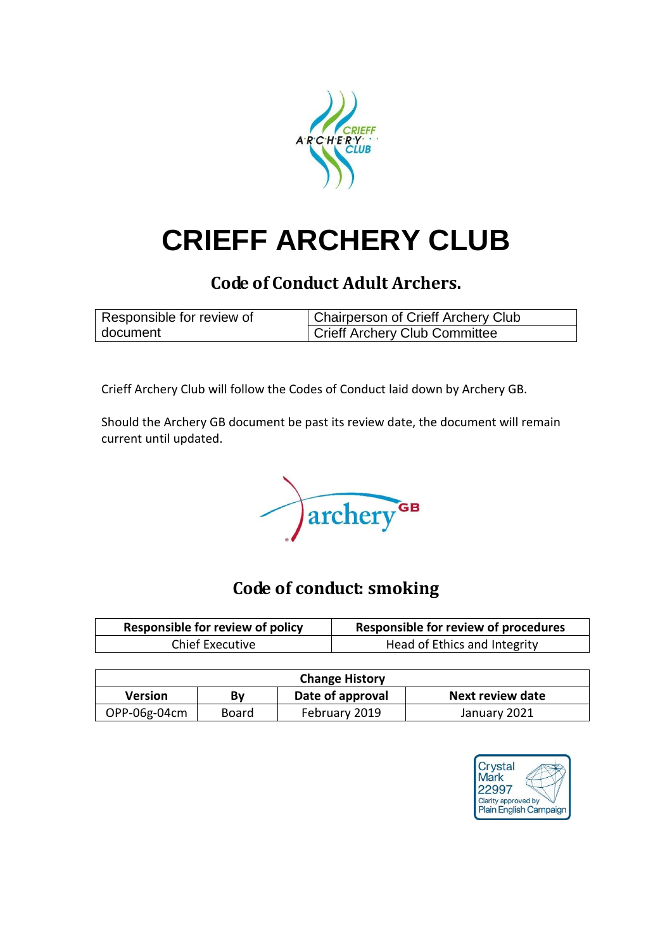

# **CRIEFF ARCHERY CLUB**

## **Code of Conduct Adult Archers.**

| Responsible for review of | <b>Chairperson of Crieff Archery Club</b> |  |
|---------------------------|-------------------------------------------|--|
| document                  | Crieff Archery Club Committee             |  |

Crieff Archery Club will follow the Codes of Conduct laid down by Archery GB.

Should the Archery GB document be past its review date, the document will remain current until updated.

archery GB

## **Code of conduct: smoking**

| <b>Responsible for review of policy</b> | <b>Responsible for review of procedures</b> |
|-----------------------------------------|---------------------------------------------|
| <b>Chief Executive</b>                  | Head of Ethics and Integrity                |

| <b>Change History</b> |       |                  |                  |
|-----------------------|-------|------------------|------------------|
| <b>Version</b>        | Bν    | Date of approval | Next review date |
| OPP-06g-04cm          | Board | February 2019    | January 2021     |